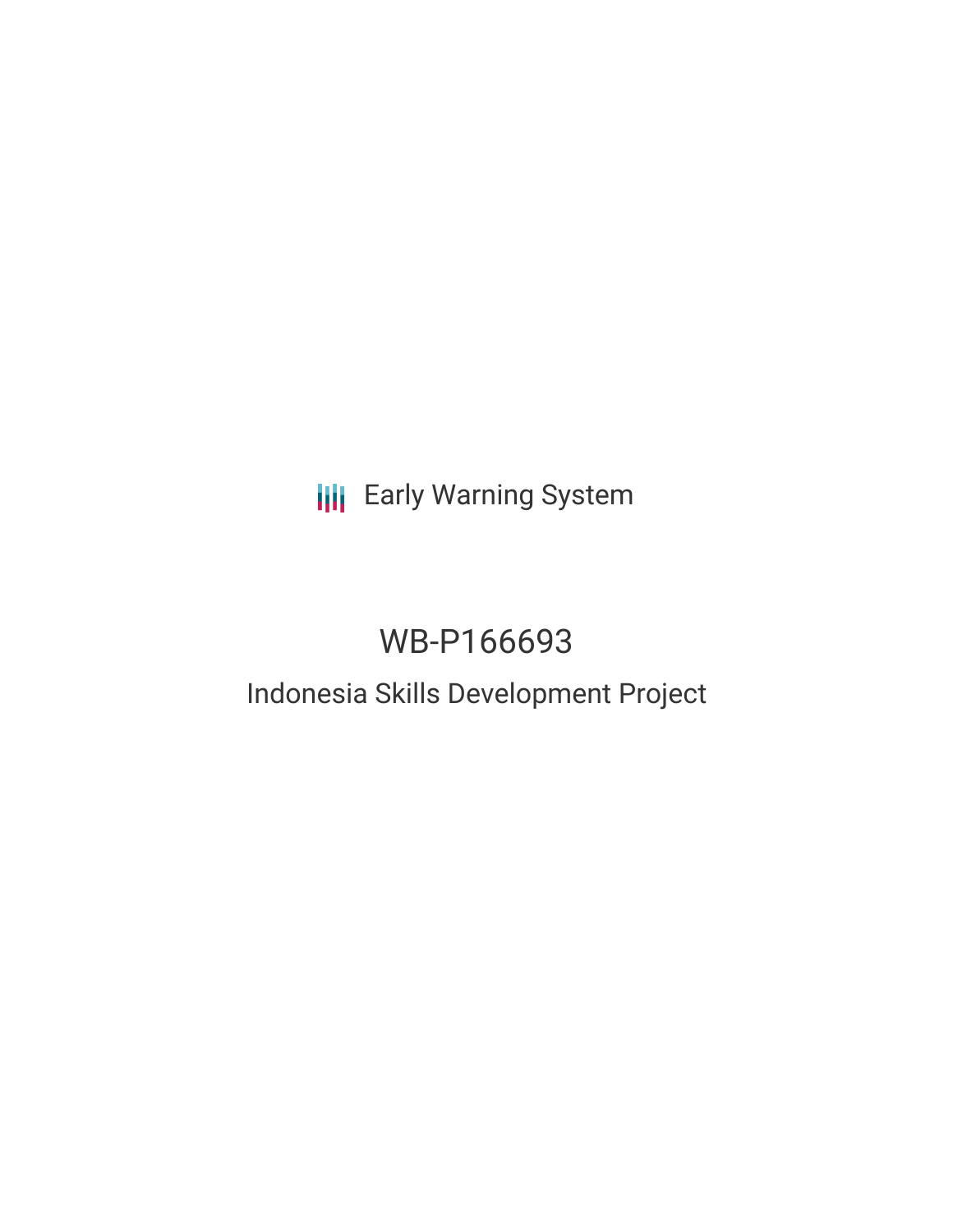**III** Early Warning System

# WB-P166693

## Indonesia Skills Development Project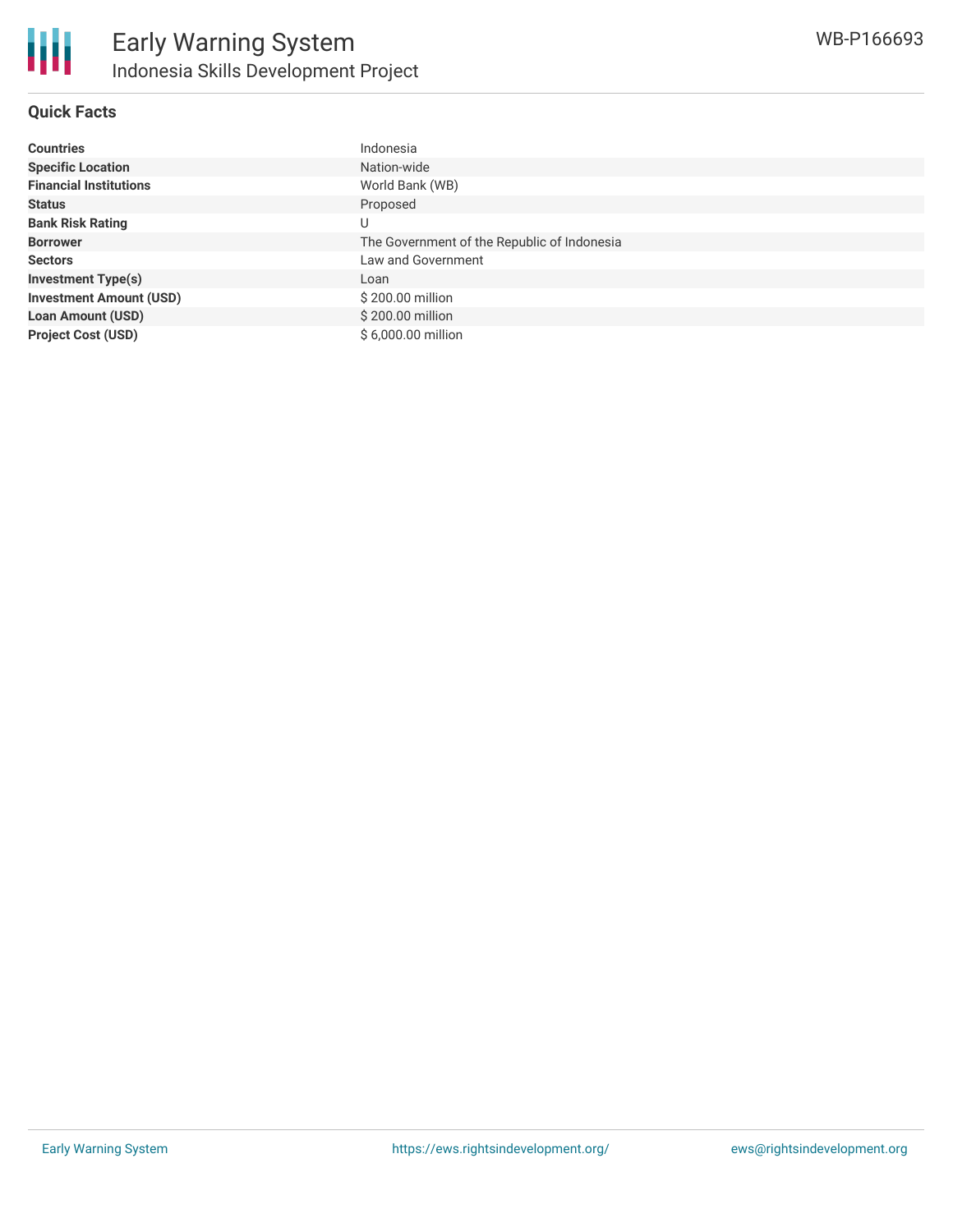## **Quick Facts**

| <b>Countries</b>               | Indonesia                                   |
|--------------------------------|---------------------------------------------|
| <b>Specific Location</b>       | Nation-wide                                 |
| <b>Financial Institutions</b>  | World Bank (WB)                             |
| <b>Status</b>                  | Proposed                                    |
| <b>Bank Risk Rating</b>        | U                                           |
| <b>Borrower</b>                | The Government of the Republic of Indonesia |
| <b>Sectors</b>                 | Law and Government                          |
| <b>Investment Type(s)</b>      | Loan                                        |
| <b>Investment Amount (USD)</b> | \$200.00 million                            |
| <b>Loan Amount (USD)</b>       | \$200.00 million                            |
| <b>Project Cost (USD)</b>      | \$6,000,00 million                          |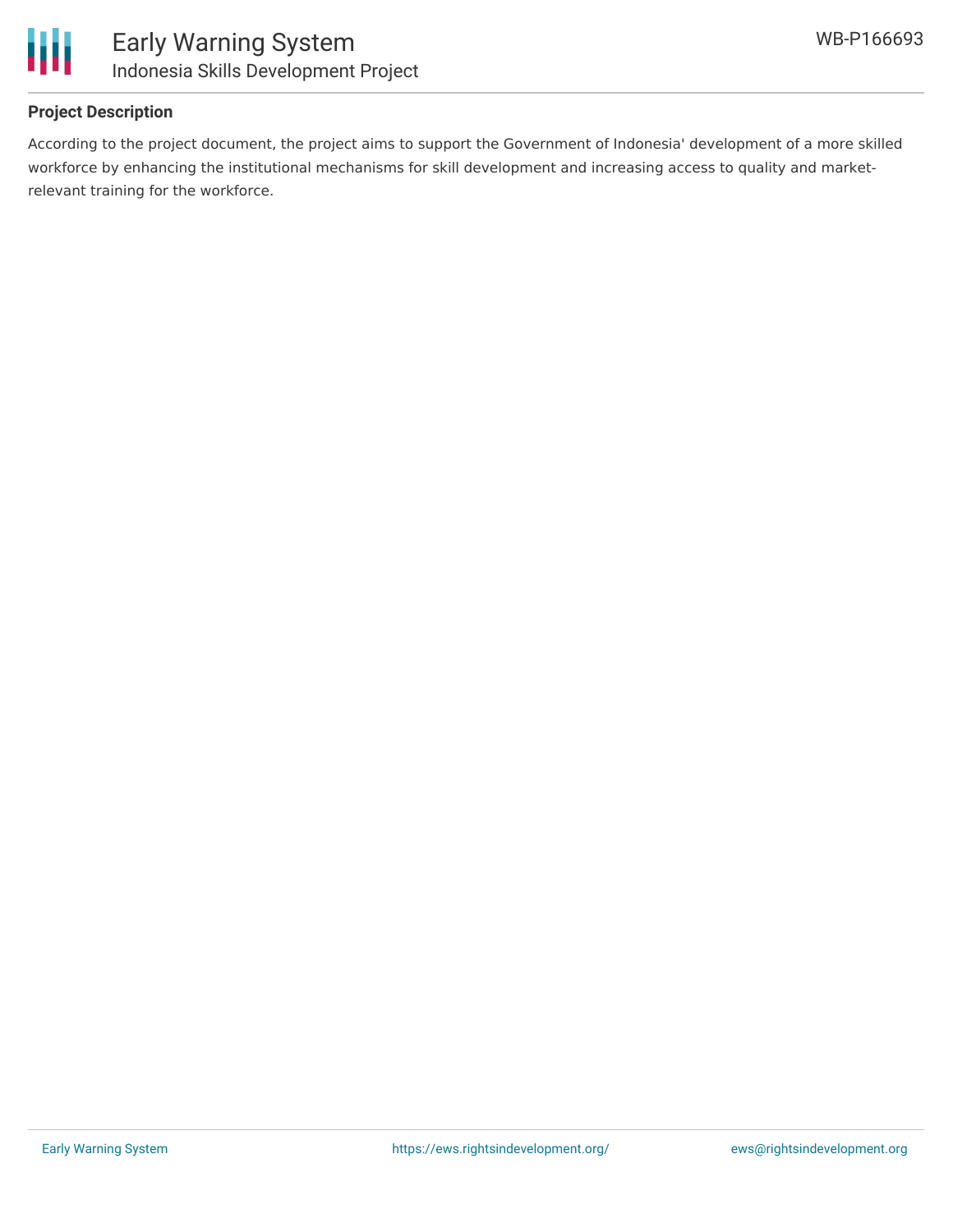

## **Project Description**

According to the project document, the project aims to support the Government of Indonesia' development of a more skilled workforce by enhancing the institutional mechanisms for skill development and increasing access to quality and marketrelevant training for the workforce.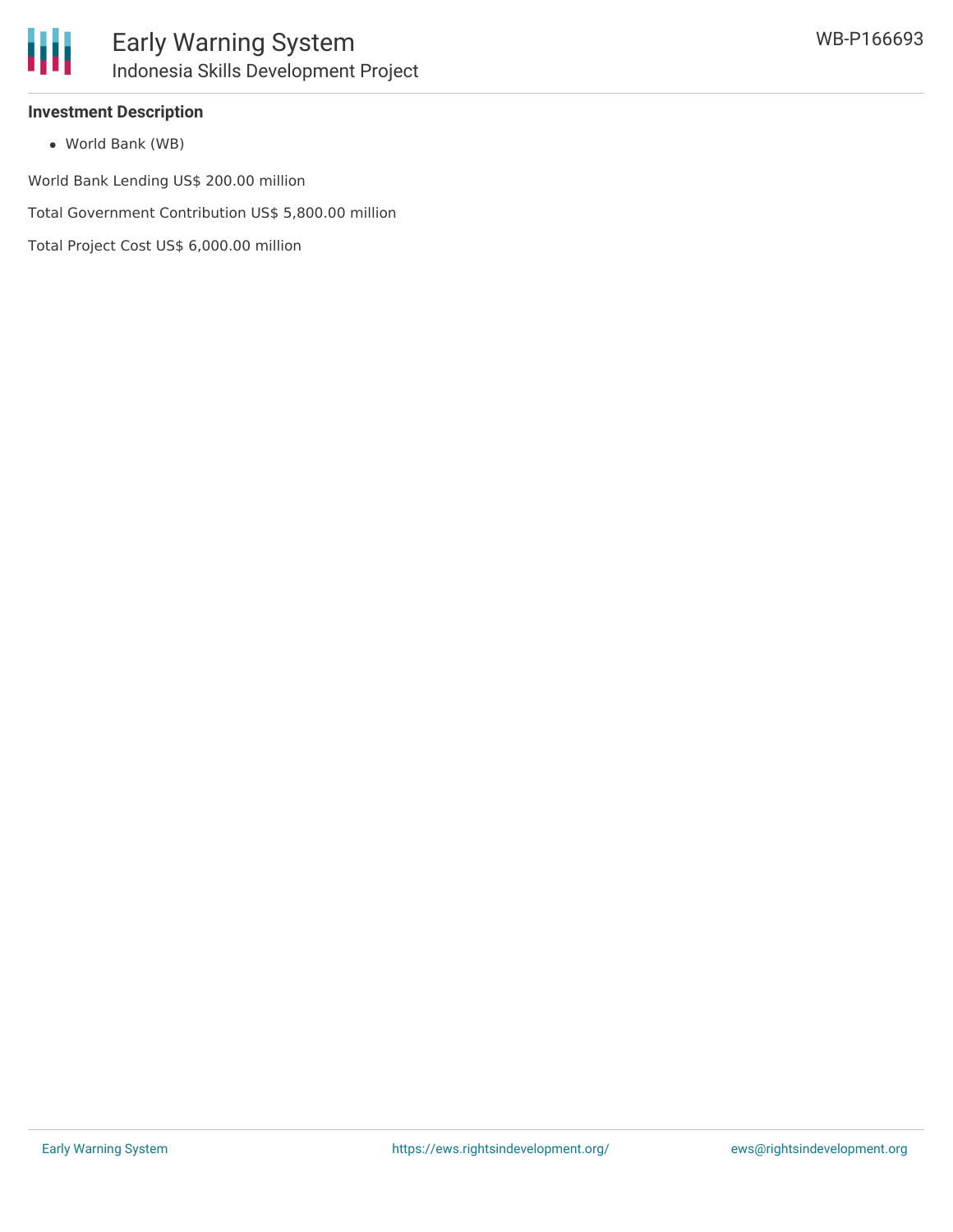

## **Investment Description**

World Bank (WB)

World Bank Lending US\$ 200.00 million

Total Government Contribution US\$ 5,800.00 million

Total Project Cost US\$ 6,000.00 million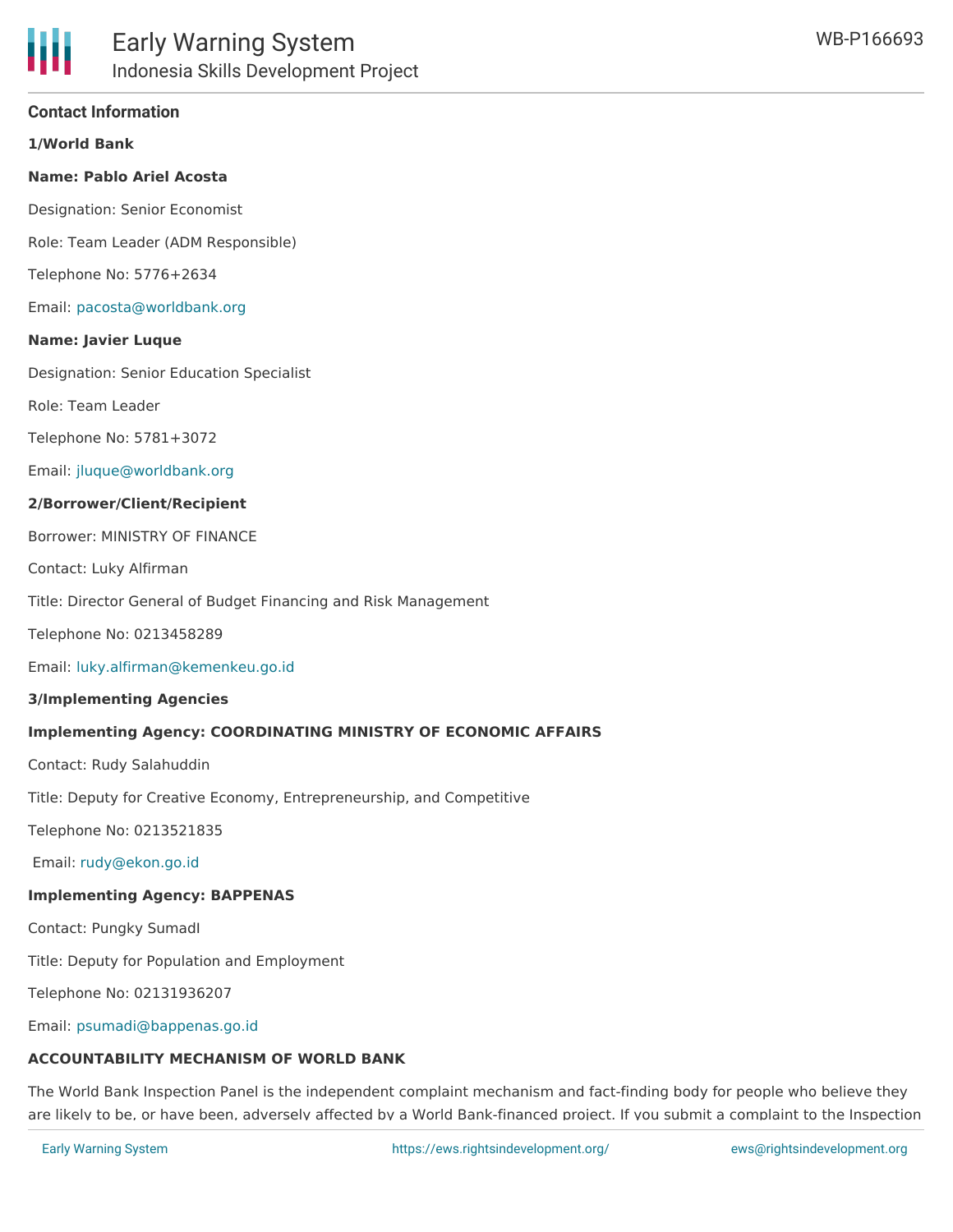## **Contact Information**

**1/World Bank**

#### **Name: Pablo Ariel Acosta**

Designation: Senior Economist

Role: Team Leader (ADM Responsible)

Telephone No: 5776+2634

Email: [pacosta@worldbank.org](mailto:pacosta@worldbank.org)

#### **Name: Javier Luque**

Designation: Senior Education Specialist

Role: Team Leader

Telephone No: 5781+3072

Email: [jluque@worldbank.org](mailto:jluque@worldbank.org)

#### **2/Borrower/Client/Recipient**

Borrower: MINISTRY OF FINANCE

Contact: Luky Alfirman

Title: Director General of Budget Financing and Risk Management

Telephone No: 0213458289

Email: [luky.alfirman@kemenkeu.go.id](mailto:luky.alfirman@kemenkeu.go.id)

#### **3/Implementing Agencies**

#### **Implementing Agency: COORDINATING MINISTRY OF ECONOMIC AFFAIRS**

Contact: Rudy Salahuddin

Title: Deputy for Creative Economy, Entrepreneurship, and Competitive

Telephone No: 0213521835

Email: [rudy@ekon.go.id](mailto:rudy@ekon.go.id)

## **Implementing Agency: BAPPENAS**

Contact: Pungky SumadI

Title: Deputy for Population and Employment

Telephone No: 02131936207

Email: [psumadi@bappenas.go.id](mailto:psumadi@bappenas.go.id)

## **ACCOUNTABILITY MECHANISM OF WORLD BANK**

The World Bank Inspection Panel is the independent complaint mechanism and fact-finding body for people who believe they are likely to be, or have been, adversely affected by a World Bank-financed project. If you submit a complaint to the Inspection